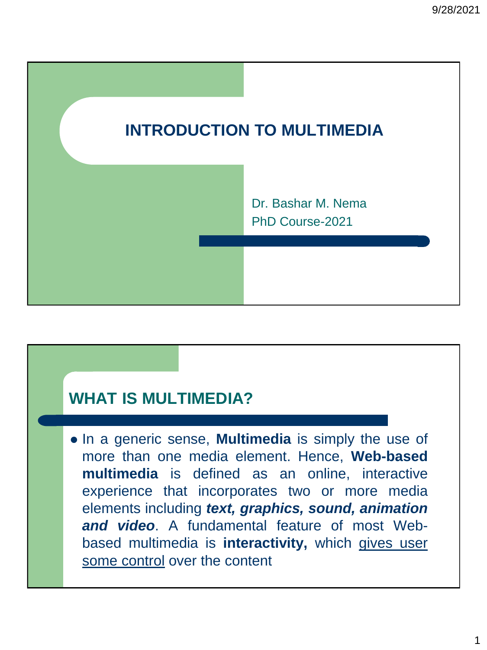

## **WHAT IS MULTIMEDIA?**

⚫ In a generic sense, **Multimedia** is simply the use of more than one media element. Hence, **Web-based multimedia** is defined as an online, interactive experience that incorporates two or more media elements including *text, graphics, sound, animation and video*. A fundamental feature of most Webbased multimedia is **interactivity,** which gives user some control over the content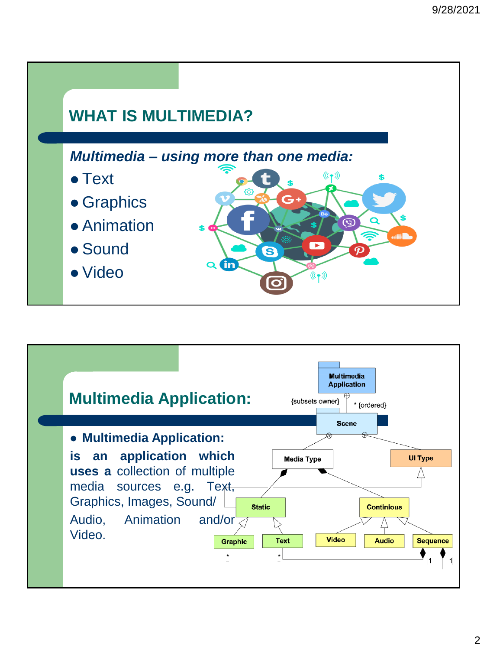![](_page_1_Figure_1.jpeg)

![](_page_1_Figure_2.jpeg)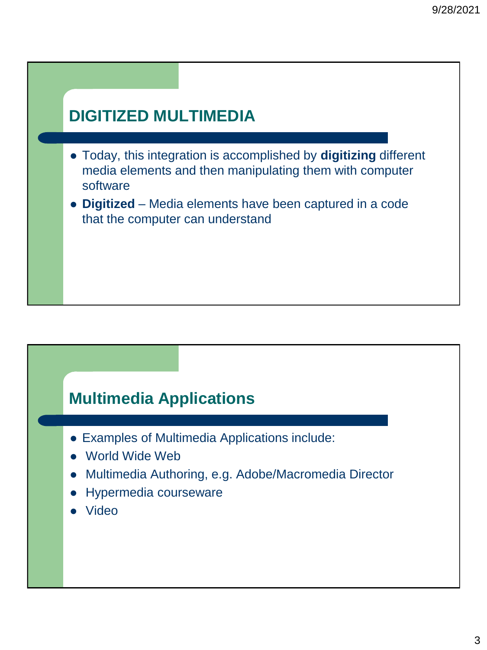## **DIGITIZED MULTIMEDIA**

- ⚫ Today, this integration is accomplished by **digitizing** different media elements and then manipulating them with computer software
- ⚫ **Digitized** Media elements have been captured in a code that the computer can understand

## **Multimedia Applications**

- ⚫ Examples of Multimedia Applications include:
- ⚫ World Wide Web
- ⚫ Multimedia Authoring, e.g. Adobe/Macromedia Director
- ⚫ Hypermedia courseware
- ⚫ Video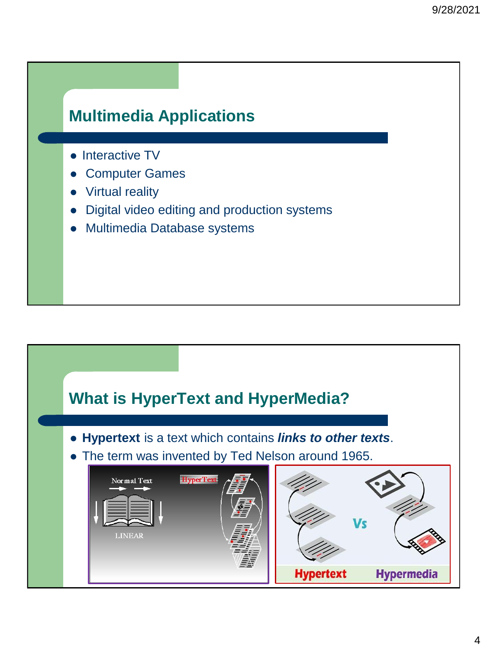## **Multimedia Applications**

- Interactive TV
- ⚫ Computer Games
- **Virtual reality**
- ⚫ Digital video editing and production systems
- ⚫ Multimedia Database systems

![](_page_3_Figure_7.jpeg)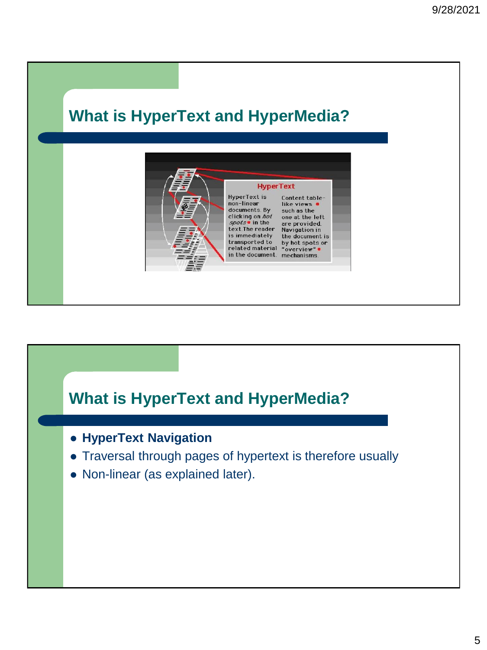![](_page_4_Picture_1.jpeg)

![](_page_4_Figure_2.jpeg)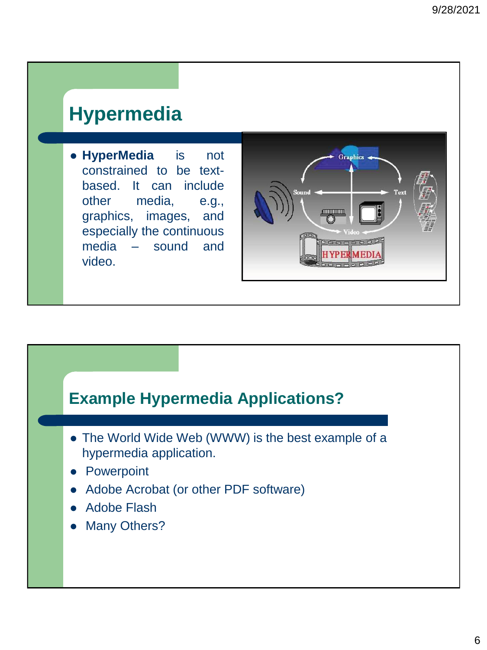# **Hypermedia**

⚫ **HyperMedia** is not constrained to be textbased. It can include other media, e.g., graphics, images, and especially the continuous media – sound and video.

![](_page_5_Picture_3.jpeg)

## **Example Hypermedia Applications?**

- ⚫ The World Wide Web (WWW) is the best example of a hypermedia application.
- **Powerpoint**
- ⚫ Adobe Acrobat (or other PDF software)
- ⚫ Adobe Flash
- Many Others?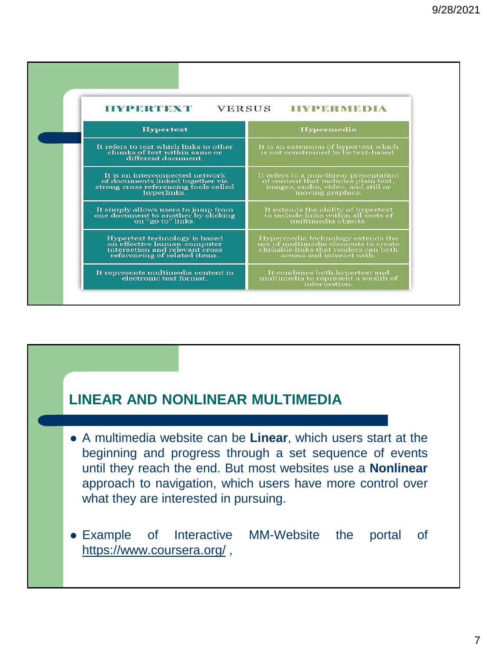| <b>HYPERTEXT</b><br><b>VERSUS</b><br><b>HYPERMEDIA</b>                                                                          |                                                                                                                                                 |
|---------------------------------------------------------------------------------------------------------------------------------|-------------------------------------------------------------------------------------------------------------------------------------------------|
| <b>Hypertext</b>                                                                                                                | <b>Hypermedia</b>                                                                                                                               |
| It refers to text which links to other<br>chunks of text within same or<br>different document.                                  | It is an extension of hypertext which<br>is not constrained to be text-based.                                                                   |
| It is an interconnected network<br>of documents linked together via<br>strong cross referencing tools called<br>hyperlinks.     | It refers to a non-linear presentation<br>of content that includes plain text,<br>images, audio, video, and still or<br>moving graphics.        |
| It simply allows users to jump from<br>one document to another by clicking<br>on "go to" links.                                 | It extends the ability of hypertext<br>to include links within all sorts of<br>multimedia objects.                                              |
| Hypertext technology is based<br>on effective human-computer<br>interaction and relevant cross<br>referencing of related items. | Hypermedia technology extends the<br>use of multimedia elements to create<br>clickable links that readers can both<br>access and interact with. |
| It represents multimedia content in<br>electronic text format.                                                                  | It combines both hypertext and<br>multimedia to represent a wealth of<br>information.                                                           |

### **LINEAR AND NONLINEAR MULTIMEDIA**

- ⚫ A multimedia website can be **Linear**, which users start at the beginning and progress through a set sequence of events until they reach the end. But most websites use a **Nonlinear** approach to navigation, which users have more control over what they are interested in pursuing.
- ⚫ Example of Interactive MM-Website the portal of <https://www.coursera.org/> ,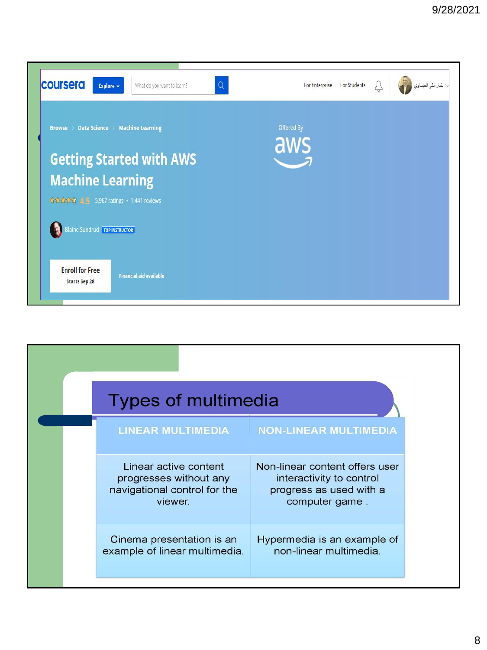![](_page_7_Picture_1.jpeg)

| Types of multimedia                                                                        |                                                                                                         |
|--------------------------------------------------------------------------------------------|---------------------------------------------------------------------------------------------------------|
| <b>LINEAR MULTIMEDIA</b>                                                                   | <b>NON-LINEAR MULTIMEDIA</b>                                                                            |
| Linear active content<br>progresses without any<br>navigational control for the<br>viewer. | Non-linear content offers user<br>interactivity to control<br>progress as used with a<br>computer game. |
| Cinema presentation is an<br>example of linear multimedia.                                 | Hypermedia is an example of<br>non-linear multimedia.                                                   |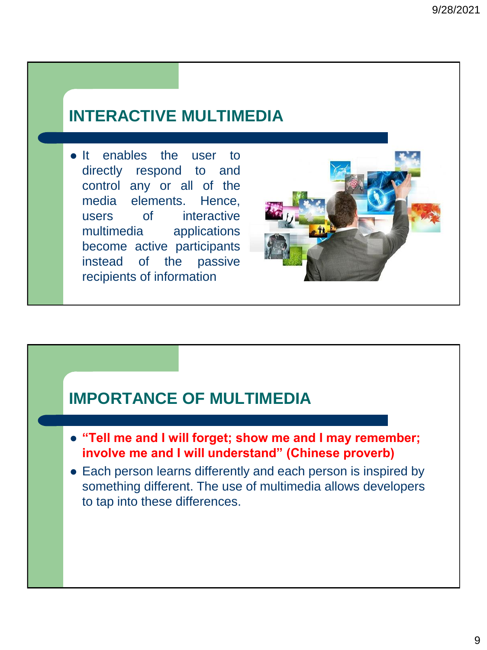## **INTERACTIVE MULTIMEDIA**

• It enables the user to directly respond to and control any or all of the media elements. Hence, users of interactive multimedia applications become active participants instead of the passive recipients of information

![](_page_8_Picture_3.jpeg)

### **IMPORTANCE OF MULTIMEDIA**

- ⚫ **"Tell me and I will forget; show me and I may remember; involve me and I will understand" (Chinese proverb)**
- Each person learns differently and each person is inspired by something different. The use of multimedia allows developers to tap into these differences.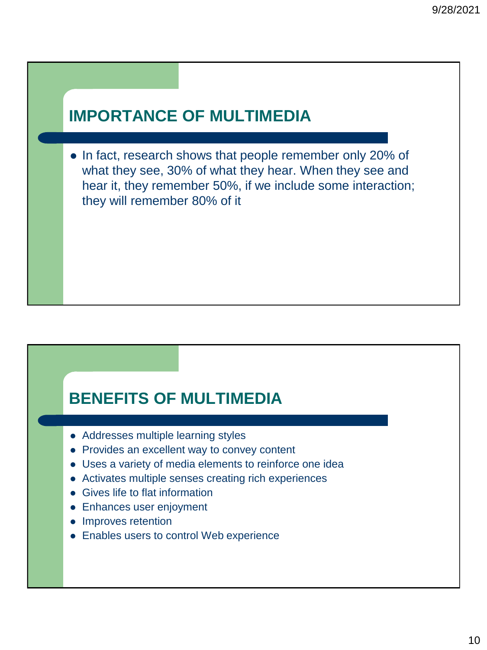## **IMPORTANCE OF MULTIMEDIA**

⚫ In fact, research shows that people remember only 20% of what they see, 30% of what they hear. When they see and hear it, they remember 50%, if we include some interaction; they will remember 80% of it

## **BENEFITS OF MULTIMEDIA**

- ⚫ Addresses multiple learning styles
- ⚫ Provides an excellent way to convey content
- ⚫ Uses a variety of media elements to reinforce one idea
- ⚫ Activates multiple senses creating rich experiences
- ⚫ Gives life to flat information
- ⚫ Enhances user enjoyment
- ⚫ Improves retention
- ⚫ Enables users to control Web experience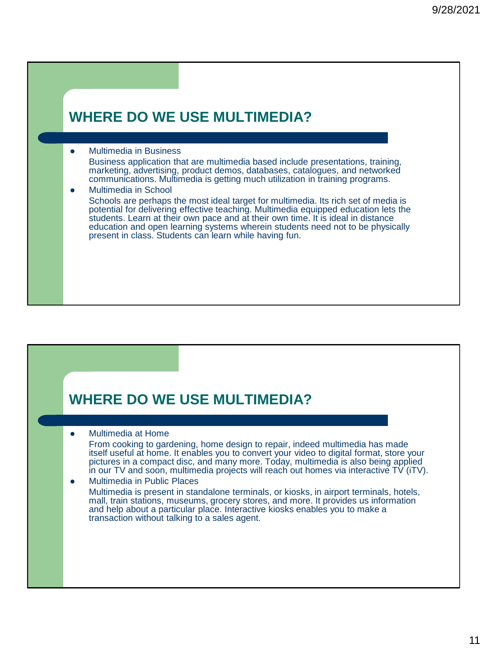### **WHERE DO WE USE MULTIMEDIA?** ⚫ Multimedia in Business Business application that are multimedia based include presentations, training, marketing, advertising, product demos, databases, catalogues, and networked communications. Multimedia is getting much utilization in training programs. ⚫ Multimedia in School Schools are perhaps the most ideal target for multimedia. Its rich set of media is potential for delivering effective teaching. Multimedia equipped education lets the students. Learn at their own pace and at their own time. It is ideal in distance education and open learning systems wherein students need not to be physically present in class. Students can learn while having fun.

# **WHERE DO WE USE MULTIMEDIA?** ⚫ Multimedia at Home From cooking to gardening, home design to repair, indeed multimedia has made itself useful at home. It enables you to convert your video to digital format, store your pictures in a compact disc, and many more. Today, multimedia is also being applied in our TV and soon, multimedia projects will reach out homes via interactive TV (iTV). ⚫ Multimedia in Public Places Multimedia is present in standalone terminals, or kiosks, in airport terminals, hotels, mall, train stations, museums, grocery stores, and more. It provides us information and help about a particular place. Interactive kiosks enables you to make a transaction without talking to a sales agent.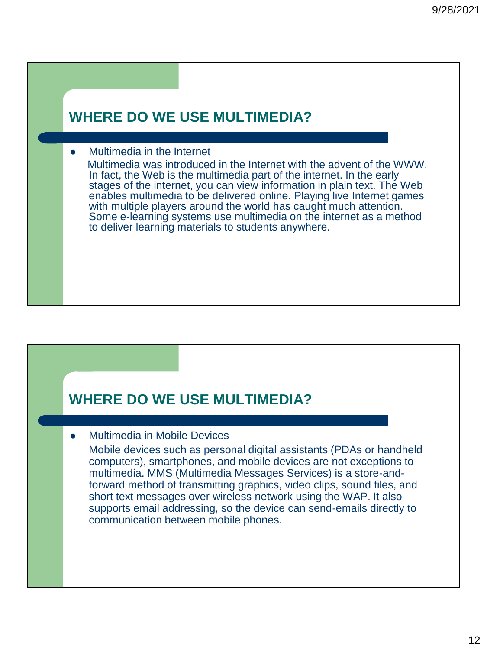### **WHERE DO WE USE MULTIMEDIA?**

#### ⚫ Multimedia in the Internet

Multimedia was introduced in the Internet with the advent of the WWW. In fact, the Web is the multimedia part of the internet. In the early stages of the internet, you can view information in plain text. The Web enables multimedia to be delivered online. Playing live Internet games with multiple players around the world has caught much attention. Some e-learning systems use multimedia on the internet as a method to deliver learning materials to students anywhere.

### **WHERE DO WE USE MULTIMEDIA?**

⚫ Multimedia in Mobile Devices

Mobile devices such as personal digital assistants (PDAs or handheld computers), smartphones, and mobile devices are not exceptions to multimedia. MMS (Multimedia Messages Services) is a store-andforward method of transmitting graphics, video clips, sound files, and short text messages over wireless network using the WAP. It also supports email addressing, so the device can send-emails directly to communication between mobile phones.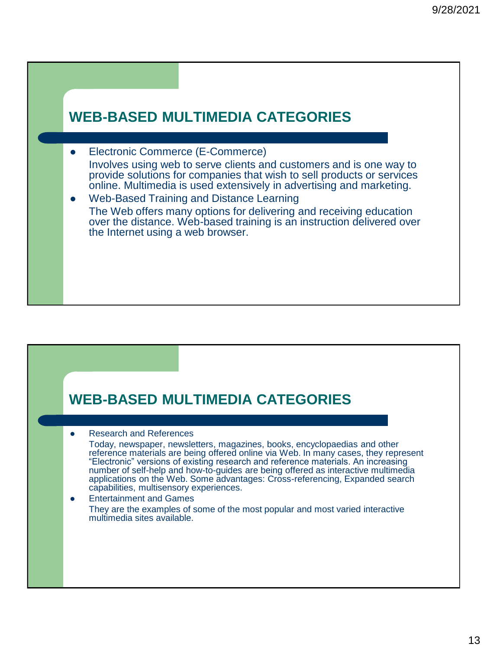![](_page_12_Figure_1.jpeg)

### **WEB-BASED MULTIMEDIA CATEGORIES**

⚫ Research and References

Today, newspaper, newsletters, magazines, books, encyclopaedias and other reference materials are being offered online via Web. In many cases, they represent "Electronic" versions of existing research and reference materials. An increasing number of self-help and how-to-guides are being offered as interactive multimedia applications on the Web. Some advantages: Cross-referencing, Expanded search capabilities, multisensory experiences.

⚫ Entertainment and Games They are the examples of some of the most popular and most varied interactive multimedia sites available.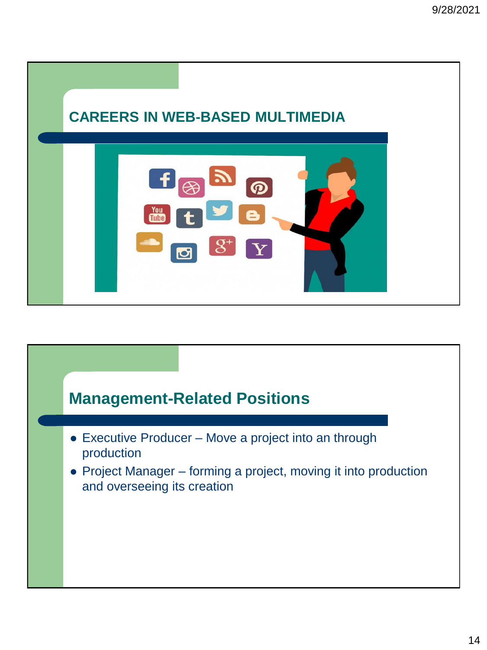![](_page_13_Picture_1.jpeg)

![](_page_13_Figure_2.jpeg)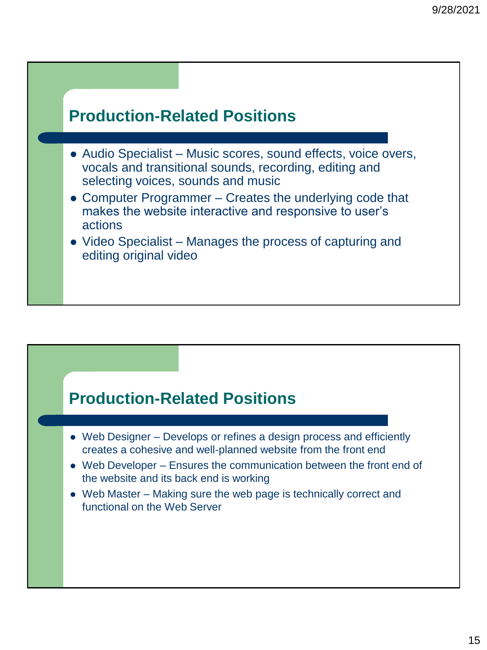![](_page_14_Figure_1.jpeg)

## **Production-Related Positions**

- Web Designer Develops or refines a design process and efficiently creates a cohesive and well-planned website from the front end
- ⚫ Web Developer Ensures the communication between the front end of the website and its back end is working
- Web Master Making sure the web page is technically correct and functional on the Web Server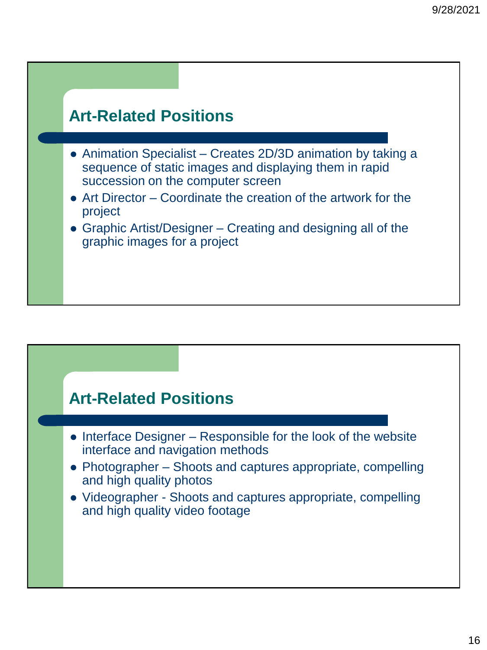## **Art-Related Positions**

- ⚫ Animation Specialist Creates 2D/3D animation by taking a sequence of static images and displaying them in rapid succession on the computer screen
- ⚫ Art Director Coordinate the creation of the artwork for the project
- ⚫ Graphic Artist/Designer Creating and designing all of the graphic images for a project

### **Art-Related Positions**

- ⚫ Interface Designer Responsible for the look of the website interface and navigation methods
- ⚫ Photographer Shoots and captures appropriate, compelling and high quality photos
- ⚫ Videographer Shoots and captures appropriate, compelling and high quality video footage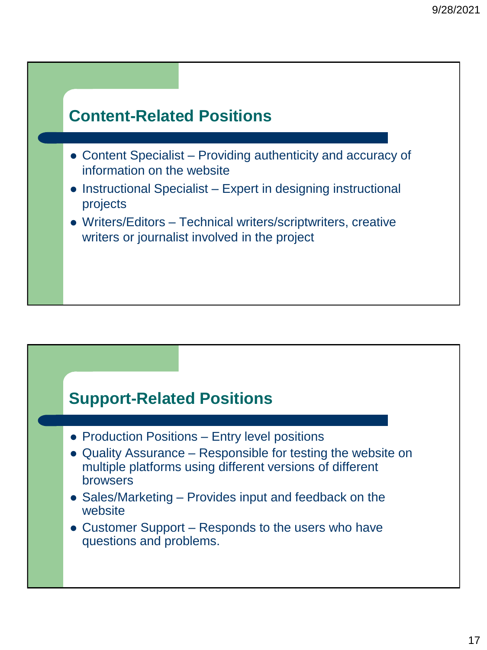![](_page_16_Figure_1.jpeg)

## **Support-Related Positions**

- Production Positions Entry level positions
- ⚫ Quality Assurance Responsible for testing the website on multiple platforms using different versions of different browsers
- ⚫ Sales/Marketing Provides input and feedback on the website
- ⚫ Customer Support Responds to the users who have questions and problems.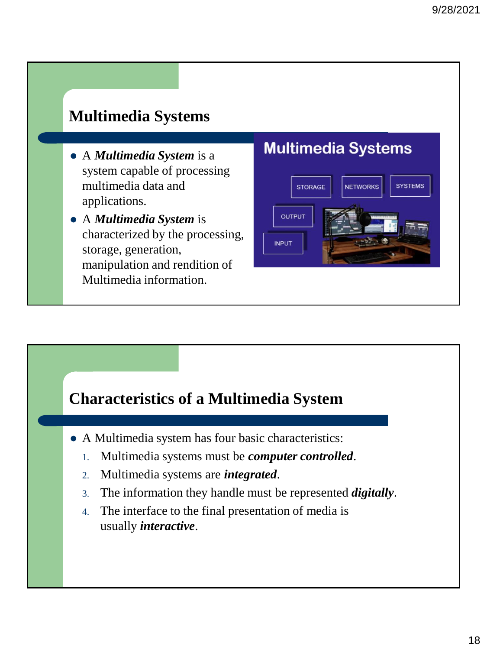## **Multimedia Systems**

- ⚫ A *Multimedia System* is a system capable of processing multimedia data and applications.
- ⚫ A *Multimedia System* is characterized by the processing, storage, generation, manipulation and rendition of Multimedia information.

### **Multimedia Systems**

![](_page_17_Figure_5.jpeg)

### **Characteristics of a Multimedia System**

- ⚫ A Multimedia system has four basic characteristics:
	- 1. Multimedia systems must be *computer controlled*.
	- 2. Multimedia systems are *integrated*.
	- 3. The information they handle must be represented *digitally*.
	- 4. The interface to the final presentation of media is usually *interactive*.